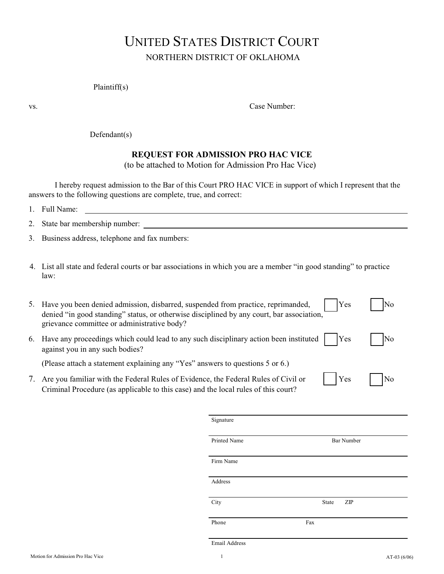# UNITED STATES DISTRICT COURT NORTHERN DISTRICT OF OKLAHOMA

#### Plaintiff(s)

vs. Case Number:

#### Defendant(s)

### **REQUEST FOR ADMISSION PRO HAC VICE**

(to be attached to Motion for Admission Pro Hac Vice)

I hereby request admission to the Bar of this Court PRO HAC VICE in support of which I represent that the answers to the following questions are complete, true, and correct:

| . . | Full Name:<br>$\overline{\phantom{a}}$ |  |
|-----|----------------------------------------|--|
|     |                                        |  |

|  |  |  | 2. State bar membership number: |  |
|--|--|--|---------------------------------|--|
|  |  |  |                                 |  |

3. Business address, telephone and fax numbers:

4. List all state and federal courts or bar associations in which you are a member "in good standing" to practice law:

| 5. | Have you been denied admission, disbarred, suspended from practice, reprimanded,<br>denied "in good standing" status, or otherwise disciplined by any court, bar association,<br>grievance committee or administrative body? | Yes        | No                  |
|----|------------------------------------------------------------------------------------------------------------------------------------------------------------------------------------------------------------------------------|------------|---------------------|
| 6. | Have any proceedings which could lead to any such disciplinary action been instituted<br>against you in any such bodies?                                                                                                     | <b>Yes</b> | $\overline{\rm No}$ |
|    | (Please attach a statement explaining any "Yes" answers to questions 5 or 6.)                                                                                                                                                |            |                     |
|    | Are you familiar with the Federal Rules of Evidence, the Federal Rules of Civil or                                                                                                                                           | Yes        |                     |

Criminal Procedure (as applicable to this case) and the local rules of this court?

| <b>Bar Number</b> |
|-------------------|
|                   |
|                   |
| State<br>ZIP      |
| Fax               |
|                   |

Email Address